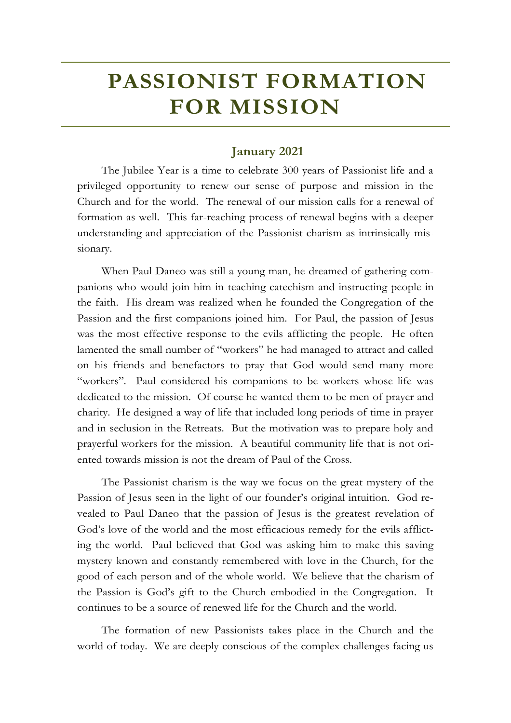## **January 2021**

The Jubilee Year is a time to celebrate 300 years of Passionist life and a privileged opportunity to renew our sense of purpose and mission in the Church and for the world. The renewal of our mission calls for a renewal of formation as well. This far-reaching process of renewal begins with a deeper understanding and appreciation of the Passionist charism as intrinsically missionary.

When Paul Daneo was still a young man, he dreamed of gathering companions who would join him in teaching catechism and instructing people in the faith. His dream was realized when he founded the Congregation of the Passion and the first companions joined him. For Paul, the passion of Jesus was the most effective response to the evils afflicting the people. He often lamented the small number of "workers" he had managed to attract and called on his friends and benefactors to pray that God would send many more "workers". Paul considered his companions to be workers whose life was dedicated to the mission. Of course he wanted them to be men of prayer and charity. He designed a way of life that included long periods of time in prayer and in seclusion in the Retreats. But the motivation was to prepare holy and prayerful workers for the mission. A beautiful community life that is not oriented towards mission is not the dream of Paul of the Cross.

The Passionist charism is the way we focus on the great mystery of the Passion of Jesus seen in the light of our founder's original intuition. God revealed to Paul Daneo that the passion of Jesus is the greatest revelation of God's love of the world and the most efficacious remedy for the evils afflicting the world. Paul believed that God was asking him to make this saving mystery known and constantly remembered with love in the Church, for the good of each person and of the whole world. We believe that the charism of the Passion is God's gift to the Church embodied in the Congregation. It continues to be a source of renewed life for the Church and the world.

The formation of new Passionists takes place in the Church and the world of today. We are deeply conscious of the complex challenges facing us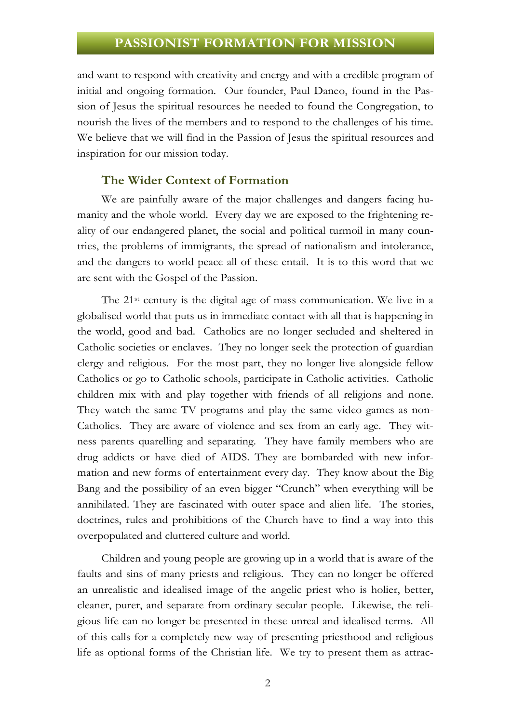and want to respond with creativity and energy and with a credible program of initial and ongoing formation. Our founder, Paul Daneo, found in the Passion of Jesus the spiritual resources he needed to found the Congregation, to nourish the lives of the members and to respond to the challenges of his time. We believe that we will find in the Passion of Jesus the spiritual resources and inspiration for our mission today.

#### **The Wider Context of Formation**

We are painfully aware of the major challenges and dangers facing humanity and the whole world. Every day we are exposed to the frightening reality of our endangered planet, the social and political turmoil in many countries, the problems of immigrants, the spread of nationalism and intolerance, and the dangers to world peace all of these entail. It is to this word that we are sent with the Gospel of the Passion.

The 21st century is the digital age of mass communication. We live in a globalised world that puts us in immediate contact with all that is happening in the world, good and bad. Catholics are no longer secluded and sheltered in Catholic societies or enclaves. They no longer seek the protection of guardian clergy and religious. For the most part, they no longer live alongside fellow Catholics or go to Catholic schools, participate in Catholic activities. Catholic children mix with and play together with friends of all religions and none. They watch the same TV programs and play the same video games as non-Catholics. They are aware of violence and sex from an early age. They witness parents quarelling and separating. They have family members who are drug addicts or have died of AIDS. They are bombarded with new information and new forms of entertainment every day. They know about the Big Bang and the possibility of an even bigger "Crunch" when everything will be annihilated. They are fascinated with outer space and alien life. The stories, doctrines, rules and prohibitions of the Church have to find a way into this overpopulated and cluttered culture and world.

Children and young people are growing up in a world that is aware of the faults and sins of many priests and religious. They can no longer be offered an unrealistic and idealised image of the angelic priest who is holier, better, cleaner, purer, and separate from ordinary secular people. Likewise, the religious life can no longer be presented in these unreal and idealised terms. All of this calls for a completely new way of presenting priesthood and religious life as optional forms of the Christian life. We try to present them as attrac-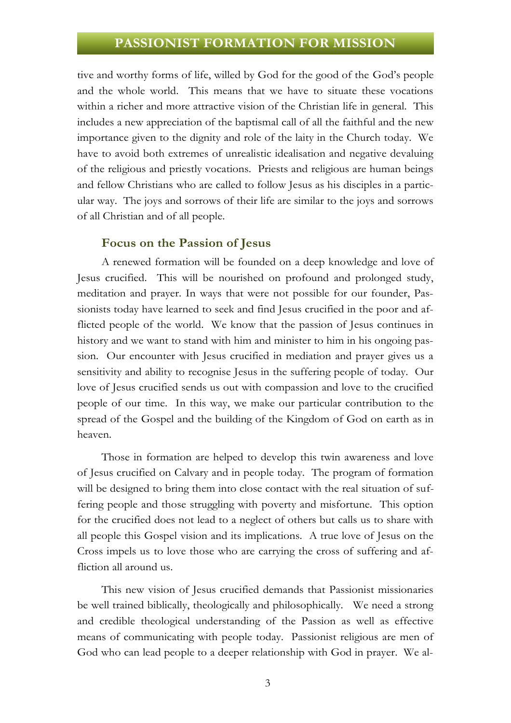tive and worthy forms of life, willed by God for the good of the God's people and the whole world. This means that we have to situate these vocations within a richer and more attractive vision of the Christian life in general. This includes a new appreciation of the baptismal call of all the faithful and the new importance given to the dignity and role of the laity in the Church today. We have to avoid both extremes of unrealistic idealisation and negative devaluing of the religious and priestly vocations. Priests and religious are human beings and fellow Christians who are called to follow Jesus as his disciples in a particular way. The joys and sorrows of their life are similar to the joys and sorrows of all Christian and of all people.

#### **Focus on the Passion of Jesus**

A renewed formation will be founded on a deep knowledge and love of Jesus crucified. This will be nourished on profound and prolonged study, meditation and prayer. In ways that were not possible for our founder, Passionists today have learned to seek and find Jesus crucified in the poor and afflicted people of the world. We know that the passion of Jesus continues in history and we want to stand with him and minister to him in his ongoing passion. Our encounter with Jesus crucified in mediation and prayer gives us a sensitivity and ability to recognise Jesus in the suffering people of today. Our love of Jesus crucified sends us out with compassion and love to the crucified people of our time. In this way, we make our particular contribution to the spread of the Gospel and the building of the Kingdom of God on earth as in heaven.

Those in formation are helped to develop this twin awareness and love of Jesus crucified on Calvary and in people today. The program of formation will be designed to bring them into close contact with the real situation of suffering people and those struggling with poverty and misfortune. This option for the crucified does not lead to a neglect of others but calls us to share with all people this Gospel vision and its implications. A true love of Jesus on the Cross impels us to love those who are carrying the cross of suffering and affliction all around us.

This new vision of Jesus crucified demands that Passionist missionaries be well trained biblically, theologically and philosophically. We need a strong and credible theological understanding of the Passion as well as effective means of communicating with people today. Passionist religious are men of God who can lead people to a deeper relationship with God in prayer. We al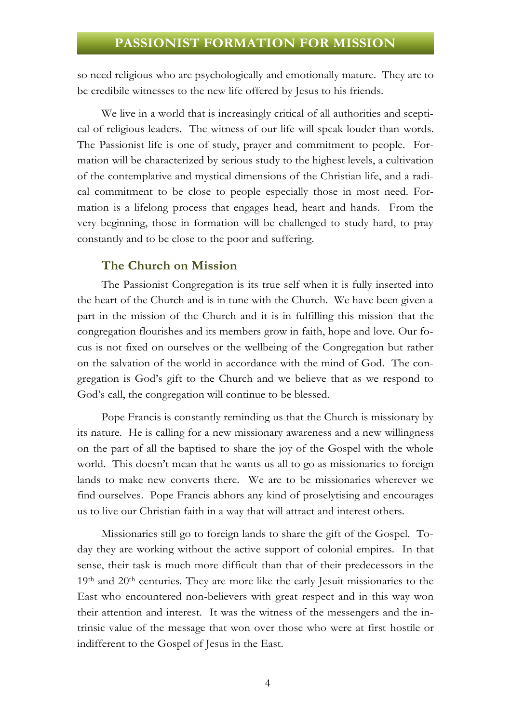so need religious who are psychologically and emotionally mature. They are to be credibile witnesses to the new life offered by Jesus to his friends.

We live in a world that is increasingly critical of all authorities and sceptical of religious leaders. The witness of our life will speak louder than words. The Passionist life is one of study, prayer and commitment to people. Formation will be characterized by serious study to the highest levels, a cultivation of the contemplative and mystical dimensions of the Christian life, and a radical commitment to be close to people especially those in most need. Formation is a lifelong process that engages head, heart and hands. From the very beginning, those in formation will be challenged to study hard, to pray constantly and to be close to the poor and suffering.

### **The Church on Mission**

The Passionist Congregation is its true self when it is fully inserted into the heart of the Church and is in tune with the Church. We have been given a part in the mission of the Church and it is in fulfilling this mission that the congregation flourishes and its members grow in faith, hope and love. Our focus is not fixed on ourselves or the wellbeing of the Congregation but rather on the salvation of the world in accordance with the mind of God. The congregation is God's gift to the Church and we believe that as we respond to God's call, the congregation will continue to be blessed.

Pope Francis is constantly reminding us that the Church is missionary by its nature. He is calling for a new missionary awareness and a new willingness on the part of all the baptised to share the joy of the Gospel with the whole world. This doesn't mean that he wants us all to go as missionaries to foreign lands to make new converts there. We are to be missionaries wherever we find ourselves. Pope Francis abhors any kind of proselytising and encourages us to live our Christian faith in a way that will attract and interest others.

Missionaries still go to foreign lands to share the gift of the Gospel. Today they are working without the active support of colonial empires. In that sense, their task is much more difficult than that of their predecessors in the 19<sup>th</sup> and 20<sup>th</sup> centuries. They are more like the early Jesuit missionaries to the East who encountered non-believers with great respect and in this way won their attention and interest. It was the witness of the messengers and the intrinsic value of the message that won over those who were at first hostile or indifferent to the Gospel of Jesus in the East.